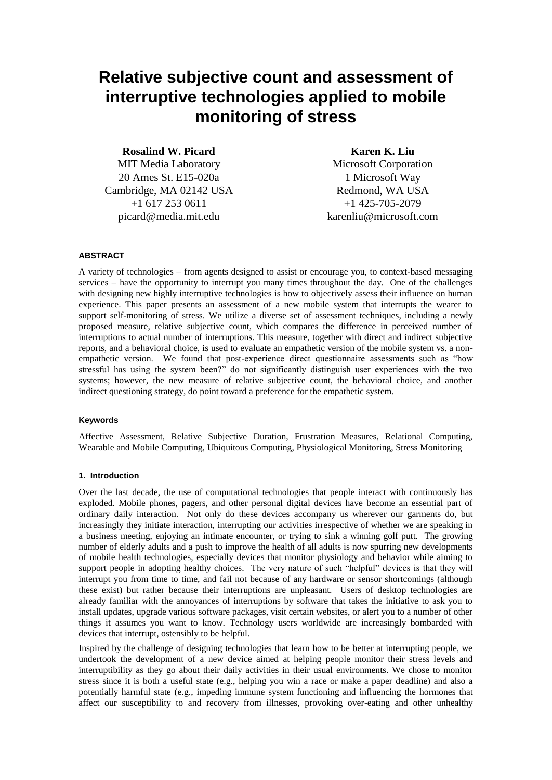# **Relative subjective count and assessment of interruptive technologies applied to mobile monitoring of stress**

**Rosalind W. Picard**

MIT Media Laboratory 20 Ames St. E15-020a Cambridge, MA 02142 USA +1 617 253 0611 picard@media.mit.edu

**Karen K. Liu** Microsoft Corporation 1 Microsoft Way Redmond, WA USA +1 425-705-2079 karenliu@microsoft.com

## **ABSTRACT**

A variety of technologies – from agents designed to assist or encourage you, to context-based messaging services – have the opportunity to interrupt you many times throughout the day. One of the challenges with designing new highly interruptive technologies is how to objectively assess their influence on human experience. This paper presents an assessment of a new mobile system that interrupts the wearer to support self-monitoring of stress. We utilize a diverse set of assessment techniques, including a newly proposed measure, relative subjective count, which compares the difference in perceived number of interruptions to actual number of interruptions. This measure, together with direct and indirect subjective reports, and a behavioral choice, is used to evaluate an empathetic version of the mobile system vs. a nonempathetic version. We found that post-experience direct questionnaire assessments such as "how stressful has using the system been?" do not significantly distinguish user experiences with the two systems; however, the new measure of relative subjective count, the behavioral choice, and another indirect questioning strategy, do point toward a preference for the empathetic system.

## **Keywords**

Affective Assessment, Relative Subjective Duration, Frustration Measures, Relational Computing, Wearable and Mobile Computing, Ubiquitous Computing, Physiological Monitoring, Stress Monitoring

### **1. Introduction**

Over the last decade, the use of computational technologies that people interact with continuously has exploded. Mobile phones, pagers, and other personal digital devices have become an essential part of ordinary daily interaction. Not only do these devices accompany us wherever our garments do, but increasingly they initiate interaction, interrupting our activities irrespective of whether we are speaking in a business meeting, enjoying an intimate encounter, or trying to sink a winning golf putt. The growing number of elderly adults and a push to improve the health of all adults is now spurring new developments of mobile health technologies, especially devices that monitor physiology and behavior while aiming to support people in adopting healthy choices. The very nature of such "helpful" devices is that they will interrupt you from time to time, and fail not because of any hardware or sensor shortcomings (although these exist) but rather because their interruptions are unpleasant. Users of desktop technologies are already familiar with the annoyances of interruptions by software that takes the initiative to ask you to install updates, upgrade various software packages, visit certain websites, or alert you to a number of other things it assumes you want to know. Technology users worldwide are increasingly bombarded with devices that interrupt, ostensibly to be helpful.

Inspired by the challenge of designing technologies that learn how to be better at interrupting people, we undertook the development of a new device aimed at helping people monitor their stress levels and interruptibility as they go about their daily activities in their usual environments. We chose to monitor stress since it is both a useful state (e.g., helping you win a race or make a paper deadline) and also a potentially harmful state (e.g., impeding immune system functioning and influencing the hormones that affect our susceptibility to and recovery from illnesses, provoking over-eating and other unhealthy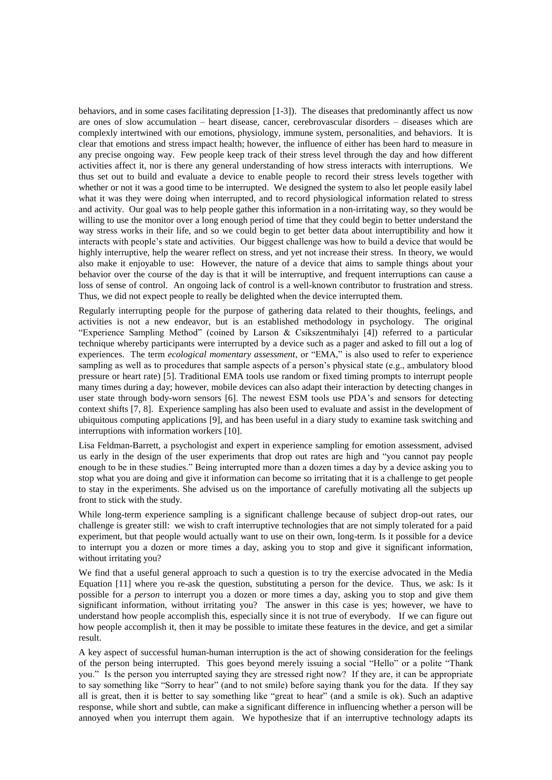behaviors, and in some cases facilitating depression [1-3]). The diseases that predominantly affect us now are ones of slow accumulation – heart disease, cancer, cerebrovascular disorders – diseases which are complexly intertwined with our emotions, physiology, immune system, personalities, and behaviors. It is clear that emotions and stress impact health; however, the influence of either has been hard to measure in any precise ongoing way. Few people keep track of their stress level through the day and how different activities affect it, nor is there any general understanding of how stress interacts with interruptions. We thus set out to build and evaluate a device to enable people to record their stress levels together with whether or not it was a good time to be interrupted. We designed the system to also let people easily label what it was they were doing when interrupted, and to record physiological information related to stress and activity. Our goal was to help people gather this information in a non-irritating way, so they would be willing to use the monitor over a long enough period of time that they could begin to better understand the way stress works in their life, and so we could begin to get better data about interruptibility and how it interacts with people's state and activities. Our biggest challenge was how to build a device that would be highly interruptive, help the wearer reflect on stress, and yet not increase their stress. In theory, we would also make it enjoyable to use: However, the nature of a device that aims to sample things about your behavior over the course of the day is that it will be interruptive, and frequent interruptions can cause a loss of sense of control. An ongoing lack of control is a well-known contributor to frustration and stress. Thus, we did not expect people to really be delighted when the device interrupted them.

Regularly interrupting people for the purpose of gathering data related to their thoughts, feelings, and activities is not a new endeavor, but is an established methodology in psychology. The original "Experience Sampling Method" (coined by Larson & Csikszentmihalyi [4]) referred to a particular technique whereby participants were interrupted by a device such as a pager and asked to fill out a log of ex periences. The term *ecological momentary assessment*, or "EMA," is also used to refer to experience sampling as well as to procedures that sample aspects of a person's physical state (e.g., ambulatory blood pressure or heart rate) [5]. Traditional EMA tools use random or fixed timing prompts to interrupt people many times during a day; however, mobile devices can also adapt their interaction by detecting changes in user state through body -worn sensors [6]. The newest ESM tools use PDA's and sensors for detecting context shifts [7, 8]. Experience sampling has also been used to evaluate and assist in the development of ubiquitous computing applications [9], and has been useful in a diary study to examine task switching and interruptions with information workers [10].

Lisa Feldman-Barrett, a psychologist and expert in experience sampling for emotion assessment, advised us early in the design of the user experimen ts that drop out rates are high and "you cannot pay people enough to be in these studies." Being interrupted more than a dozen times a day by a device asking you to stop what you are doing and give it information can become so irritating that it is a challenge to get people to stay in the experiments. She advised us on the importance of carefully motivating all the subjects up front to stick with the study.

While long-term experience sampling is a significant challenge because of subject drop-out rates, our challenge is greater still: we wish to craft interruptive technologies that are not simply tolerated for a paid experiment, but that people would actually want to use on their own, long-term. Is it possible for a device to interrupt you a dozen or more times a day, asking you to stop and give it significant information, without irritating you?

We find that a useful general approach to such a question is to try the exercise advocated in the Media Equation [11] where you re-ask the question, substituting a person for the device. Thus, we ask: Is it possible for a *person* to interrupt you a dozen or more times a day, asking you to stop and give them significant information, without irritating you? The answer in this case is yes; however, we have to understand how people accomplish this, especially since it is not true of everybody. If we can figure out how people accomplish it, then it may be possible to imitate these features in the device, and get a similar result.

A key aspect of successful human-human interruption is the act of showing consideration for the feelings of the person being interrupted. This goes beyond mere ly issuing a social "Hello" or a polite "Thank you." Is the person you interrupted saying they are stressed right now? If they are, it can be appropriate to say something like "Sorry to hear" (and to not smile) before saying thank you for the data. If t hey say all is great, then it is better to say something like "great to hear" (and a smile is ok). Such an adaptive response, while short and subtle, can make a significant difference in influencing whether a person will be annoyed when you interrupt them again. We hypothesize that if an interruptive technology adapts its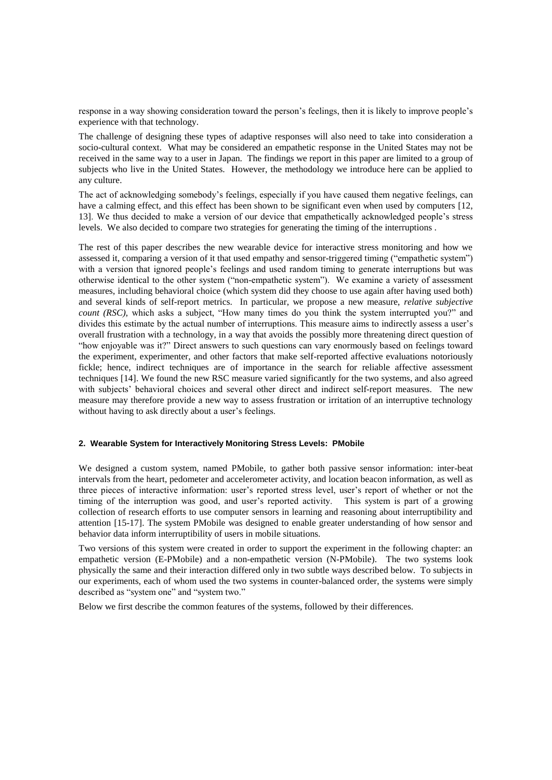response in a way showing consideration toward the person's feelings, then it is likely to improve people's experience with that technology.

The challenge of designing these types of adaptive responses will also need to take into consideration a socio-cultural context. What may be considered an empathetic response in the United States may not be received in the same way to a user in Japan. The findings we report in this paper are limited to a group of subjects who live in the United States. However, the methodology we introduce here can be applied to any culture.

The act of acknowledging somebody's feelings, especially if you have caused them negative feelings, can have a calming effect, and this effect has been shown to be significant even when used by computers [12, 13]. We thus decided to make a version of our device that empathetically acknowledged people's stress 13]. We thus decided to make a version of our device that empathetically acknowledged people's stress levels. We also decided to compare two strategies for generating the timing of the interruptions .

The rest of this paper describes the new wearable device for interactive stress monitoring and how we assessed it, comparing a version of it that used empathy and sensor-triggered timing ("empathetic system") with a version that ignored people's feelings and used random timing to generate interruptions but was otherwise identical to the other system ("non -empathetic system"). We examine a variety of assessment measures, including behavioral choice (which system did they choose to use again after having used both) and several kinds of self-report metrics. In particular, we propose a new measure, *relative subjective count (RSC),*  which asks a subject, "How many times do you think the system interrupted you?" and divides this estimate by the actual number of interruptions. This measure aims to indirectly assess a user's overall frustration with a technology, in a way that avoids the possibly more threatening direct ques tion of "how enjoyable was it?" Direct answers to such questions can vary enormously based on feelings toward the experiment, experimenter, and other factors that make self-reported affective evaluations notoriously fickle; hence, indirect techniques are of importance in the search for reliable affective assessment techniques [14]. We found the new RSC measure varied significantly for the two systems, and also agreed with subjects' behavioral choices and several other direct and indirect self-report measures. The new measure may therefore provide a new way to assess frustration or irritation of an interruptive technology without having to ask directly about a user's feelings.

## **2. Wearable System for Interactively Monitoring Stress Levels: PMobile**

We designed a custom system, named PMobile, to gather both passive sensor information: inter-beat intervals from the heart, pedometer and accelerometer activit y, and location beacon information, as well as three pieces of interactive information: user's reported stress level, user's report of whether or not the timing of the interruption was good, and user's reported activity. This system is part of a growing collection of research efforts to use computer sensors in learning and reasoning about interruptibility and attention [15-17]. The system PMobile was designed to enable greater understanding of how sensor and behavior data inform interruptibility of users in mobile situations.

Two versions of this system were created in order to support the experiment in the following chapter: an empathetic version (E-PMobile) and a non-empathetic version (N-PMobile). The two systems look physically the same and their interaction differed only in two subtle ways described below. To subjects in our experiments, each of whom used the two systems in counter-balanced order, the systems were simply described as "system one" and "system two."

Below we first describe the common features of the systems, followed by their differences.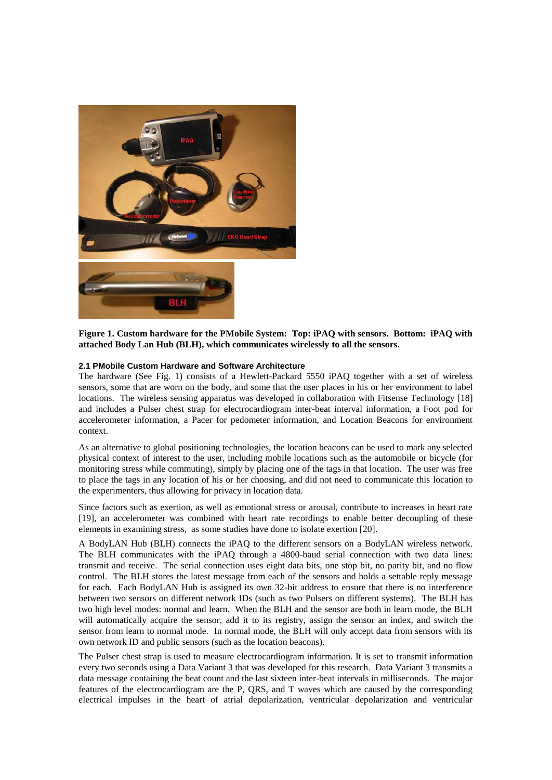

# **Figure 1. Custom hardware for the PMobile System: Top: iPAQ with sensors. Bottom: iPAQ with attached Body Lan Hub (BLH), which communicates wirelessly to all the sensors.**

# **2.1 PMobile Custom Hardware and Software Architecture**

The hardware (See Fig. 1) consists of a Hewlett-Packard 5550 iPAQ together with a set of wireless sensors, some that are worn on the body, and some that the user places in his or her environment to label locations. The wireless sensing apparatus was developed in collaboration with Fitsense Technology [18] and includes a Pulser chest strap for electrocardiogram inter-beat interval information, a Foot pod for accelerometer information, a Pacer for pedometer information, and Location Beacons for environment context.

As an alternative to global positioning technologies, the location beacons can be used to mark any selected physical context of interest to the user, including mobile locations such as the automobile or bicycle (for monitoring stress while commuting), simply by placing one of the tags in that location. The user was free to place the tags in any location of his or her choosing, and did not need to communicate this location to the experimenters, thus allowing for privacy in location data.

Since factors such as exertion, as well as emotional stress or arousal, contribute to increases in heart rate [19], an accelerometer was combined with heart rate recordings to enable better decoupling of these elements in examining stress, as some studies have done to isolate exertion [20].

A BodyLAN Hub (BLH) connects the iPAQ to the different sensors on a BodyLAN wireless network. The BLH communicates with the iPAQ through a 4800-baud serial connection with two data lines: transmit and receive. The serial connection uses eight data bits, one stop bit, no parity bit, and no flow control. The BLH stores the latest message from each of the sensors and holds a settable reply message for each. Each BodyLAN Hub is assigned its own 32-bit address to ensure that there is no interference between two sensors on different network IDs (such as two Pulsers on different systems). The BLH has two high level modes: normal and learn. When the BLH and the sensor are both in learn mode, the BLH will automatically acquire the sensor, add it to its registry, assign the sensor an index, and switch the sensor from learn to normal mode. In normal mode, the BLH will only accept data from sensors with its own network ID and public sensors (such as the location beacons).

The Pulser chest strap is used to measure electrocardiogram information. It is set to transmit information every two seconds using a Data Variant 3 that was developed for this research. Data Variant 3 transmits a data message containing the beat count and the last sixteen inter-beat intervals in milliseconds. The major features of the electrocardiogram are the P, QRS, and T waves which are caused by the corresponding electrical impulses in the heart of atrial depolarization, ventricular depolarization and ventricular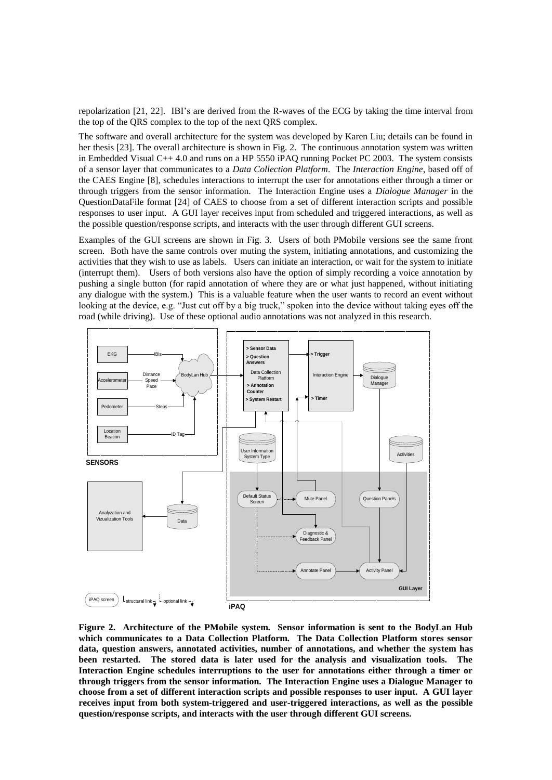repolarization [21, 22]. IBI's are derived from the R-waves of the ECG by taking the time interval from the top of the QRS complex to the top of the next QRS complex.

The software and overall architecture for the system was developed by Karen Liu; details can be found in her thesis [23]. The overall architecture is shown in Fig. 2. The continuous annotation system was written in Embedded Visual C++ 4.0 and runs on a HP 5550 iPAQ running Pocket PC 2003. The system consists of a sensor layer that communicates to a *Data Collection Platform*. The *Interaction Engine*, based off of the CAES Engine [8], schedules interactions to interrupt the user for annotations either through a timer or through triggers from the sensor information. The Interaction Engine uses a *Dialogue Manager* in the QuestionDataFile format [24] of CAES to choose from a set of different interaction scripts and possible responses to user input. A GUI layer receives input from scheduled and triggered interactions, as well as the possible question/response scripts, and interacts with the user through different GUI screens.

Examples of the GUI screens are shown in Fig. 3. Users of both PMobile versions see the same front screen. Both have the same controls over muting the system, initiating annotations, and customizing the activities that they wish to use as labels. Users can initiate an interaction, or wait for the system to initiate (interrupt them). Users of both versions also have the option of simply recording a voice annotation by pushing a single button (for rapid annotation of where they are or what just happened, without initiating any dialogue with the system.) This is a valuable feature when the user wants to record an event without looking at the device, e.g. "Just cut off by a big truck," spoken into the device without taking eyes off the road (while driving). Use of these optional audio annotations was not analyzed in this research.



**Figure 2. Architecture of the PMobile system. Sensor information is sent to the BodyLan Hub which communicates to a Data Collection Platform. The Data Collection Platform stores sensor data, question answers, annotated activities, number of annotations, and whether the system has been restarted. The stored data is later used for the analysis and visualization tools. The Interaction Engine schedules interruptions to the user for annotations either through a timer or through triggers from the sensor information. The Interaction Engine uses a Dialogue Manager to choose from a set of different interaction scripts and possible responses to user input. A GUI layer receives input from both system-triggered and user-triggered interactions, as well as the possible question/response scripts, and interacts with the user through different GUI screens.**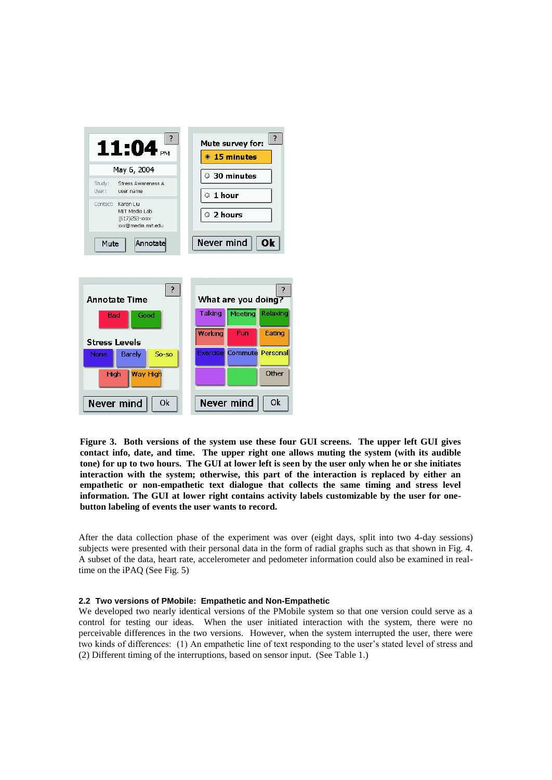

**Figure 3. Both versions of the system use these four GUI screens. The upper left GUI gives contact info, date, and time. The upper right one allows muting the system (with its audible tone) for up to two hours. The GUI at lower left is seen by the user only when he or she initiates interaction with the system; otherwise, this part of the interaction is replaced by either an empathetic or non-empathetic text dialogue that collects the same timing and stress level information. The GUI at lower right contains activity labels customizable by the user for onebutton labeling of events the user wants to record.**

After the data collection phase of the experiment was over (eight days, split into two 4-day sessions) subjects were presented with their personal data in the form of radial graphs such as that shown in Fig. 4. A subset of the data, heart rate, accelerometer and pedometer information could also be examined in realtime on the iPAQ (See Fig. 5)

## **2.2 Two versions of PMobile: Empathetic and Non-Empathetic**

We developed two nearly identical versions of the PMobile system so that one version could serve as a control for testing our ideas. When the user initiated interaction with the system, there were no perceivable differences in the two versions. However, when the system interrupted the user, there were two kinds of differences: (1) An empathetic line of text responding to the user's stated level of stress and (2) Different timing of the interruptions, based on sensor input. (See Table 1.)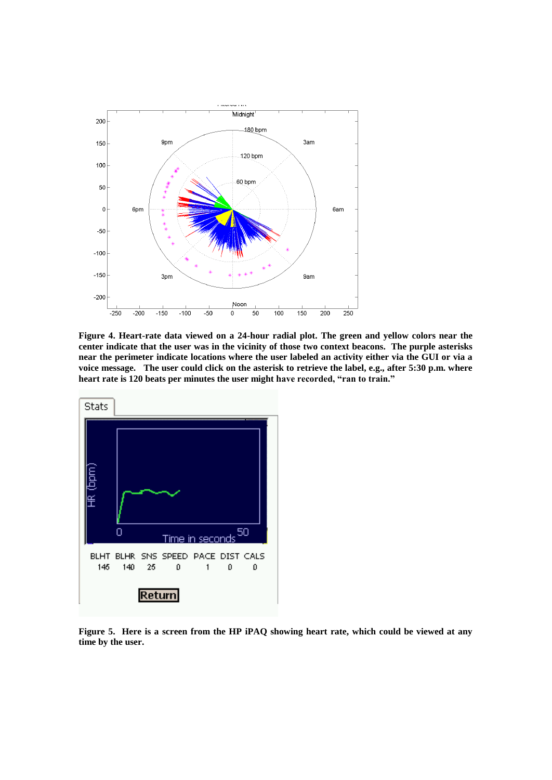

**Figure 4. Heart-rate data viewed on a 24-hour radial plot. The green and yellow colors near the center indicate that the user was in the vicinity of those two context beacons. The purple asterisks near the perimeter indicate locations where the user labeled an activity either via the GUI or via a voice message. The user could click on the asterisk to retrieve the label, e.g., after 5:30 p.m. where heart rate is 120 beats per minutes the user might have recorded, "ran to train."** 



**Figure 5. Here is a screen from the HP iPAQ showing heart rate, which could be viewed at any time by the user.**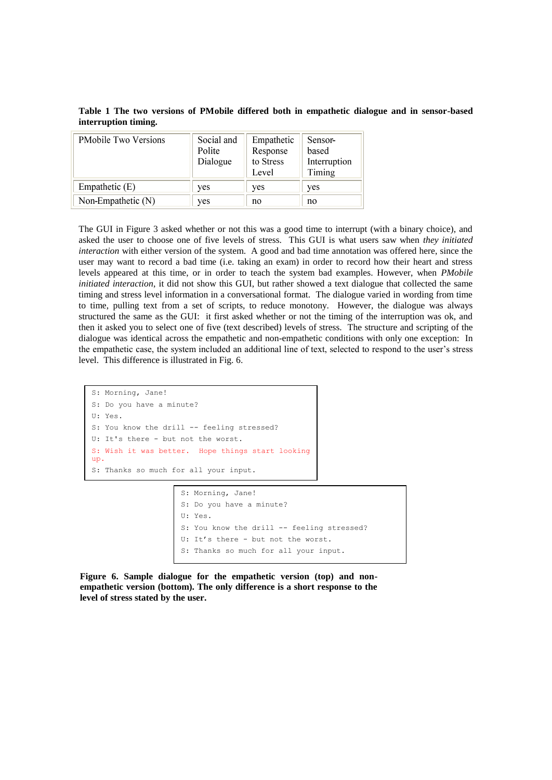**Table 1 The two versions of PMobile differed both in empathetic dialogue and in sensor-based interruption timing.**

| <b>PMobile Two Versions</b> | Social and<br>Polite<br>Dialogue | Empathetic<br>Response<br>to Stress<br>Level | Sensor-<br>based<br>Interruption<br>Timing |
|-----------------------------|----------------------------------|----------------------------------------------|--------------------------------------------|
| Empathetic $(E)$            | ves                              | yes                                          | yes                                        |
| Non-Empathetic (N)          | yes                              | no                                           | no                                         |

The GUI in Figure 3 asked whether or not this was a good time to interrupt (with a binary choice), and asked the user to choose one of five levels of stress. This GUI is what users saw when *they initiated interaction* with either version of the system. A good and bad time annotation was offered here, since the user may want to record a bad time (i.e. taking an exam) in order to record how their heart and stress levels appeared at this time, or in order to teach the system bad examples. However, when *PMobile initiated interaction*, it did not show this GUI, but rather showed a text dialogue that collected the same timing and stress level information in a conversational format. The dialogue varied in wording from time to time, pulling text from a set of scripts, to reduce monotony. However, the dialogue was always structured the same as the GUI: it first asked whether or not the timing of the interruption was ok, and then it asked you to select one of five (text described) levels of stress. The structure and scripting of the dialogue was identical across the empathetic and non-empathetic conditions with only one exception: In the empathetic case, the system included an additional line of text, selected to respond to the user's stress level. This difference is illustrated in Fig. 6.

```
S: Morning, Jane!
S: Do you have a minute?
U: Yes.
S: You know the drill -- feeling stressed?
U: It's there - but not the worst.
S: Wish it was better. Hope things start looking 
up.
S: Thanks so much for all your input.
```

```
S: Morning, Jane!
S: Do you have a minute?
U: Yes.
S: You know the drill -- feeling stressed?
U: It's there - but not the worst.
S: Thanks so much for all your input.
```
**Figure 6. Sample dialogue for the empathetic version (top) and nonempathetic version (bottom). The only difference is a short response to the level of stress stated by the user.**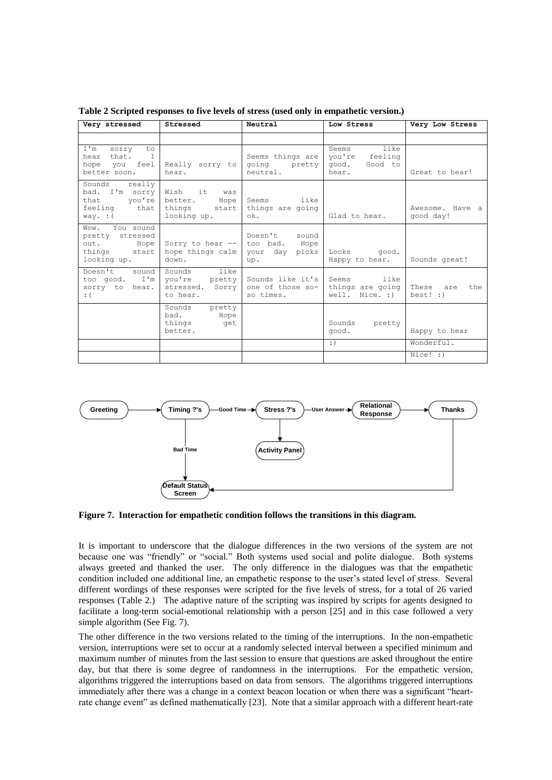| Very stressed                                                                       | Stressed                                                            | Neutral                                                       | Low Stress                                                      | Very Low Stress               |
|-------------------------------------------------------------------------------------|---------------------------------------------------------------------|---------------------------------------------------------------|-----------------------------------------------------------------|-------------------------------|
|                                                                                     |                                                                     |                                                               |                                                                 |                               |
| I'm<br>sorry<br>t.o<br>hear that. I<br>you feel<br>hope<br>better soon.             | Really sorry to<br>hear.                                            | Seems things are<br>going pretty<br>neutral.                  | like<br>Seems<br>feeling<br>you're<br>good.<br>Good to<br>hear. | Great to hear!                |
| Sounds really<br>bad. I'm sorry<br>you're<br>that<br>feeling that<br>way. $: ($     | Wish it<br>was<br>better.<br>Hope<br>things<br>start<br>looking up. | like<br>Seems<br>things are going<br>ok.                      | Glad to hear.                                                   | Awesome. Have a<br>qood day!  |
| Wow, You sound<br>pretty stressed<br>out.<br>Hope<br>things<br>start<br>looking up. | Sorry to hear --<br>hope things calm<br>down.                       | Doesn't<br>sound<br>too bad.<br>Hope<br>your day picks<br>up. | Looks<br>good.<br>Happy to hear.                                | Sounds great!                 |
| Doesn't sound<br>too good. I'm<br>sorry to hear.<br>$\colon$ (                      | Sounds<br>like<br>you're pretty<br>stressed. Sorry<br>to hear.      | Sounds like it's<br>one of those so-<br>so times.             | Seems<br>like<br>things are going<br>well. Nice. :)             | These are<br>the<br>$best!$ : |
|                                                                                     | Sounds<br>pretty<br>bad.<br>Hope<br>things<br>qet<br>better.        |                                                               | Sounds<br>pretty<br>qood.                                       | Happy to hear                 |
|                                                                                     |                                                                     |                                                               | : )                                                             | Wonderful.                    |
|                                                                                     |                                                                     |                                                               |                                                                 | $Nice!$ :                     |

**Table 2 Scripted responses to five levels of stress (used only in empathetic version.)**



**Figure 7. Interaction for empathetic condition follows the transitions in this diagram.**

It is important to undersc ore that the dialogue differences in the two versions of the system are not because one was "friendly" or "social." Both systems used social and polite dialogue. Both systems always greeted and thanked the user. The only difference in the dialogues was t hat the empathetic condition included one additional line, an empathetic response to the user's stated level of stress. Several different wordings of these responses were scripted for the five levels of stress, for a total of 26 varied responses (Table 2.) The adaptive nature of the scripting was inspired by scripts for agents designed to facilitate a long-term social-emotional relationship with a person [25] and in this case followed a very simple algorithm (See Fig. 7).

The other difference in the two versions related to the timing of the interruptions. In the non-empathetic version, interruptions were set to occur at a randomly selected interval between a specified minimum and maximum number of minutes from the last session to ensure that questions are asked throughout the entire day, but that there is some degree of randomness in the interruptions. For the empathetic version, algorithms triggered the interruptions based on data fro m sensors. The algorithms triggered interruptions immediately after there was a change in a context beacon location or when there was a significant "heart immediately after there was a change in a context beacon location or when there was a significant "heart-rate change event" as defined mathematically [23]. Note that a similar approach with a different heart-rate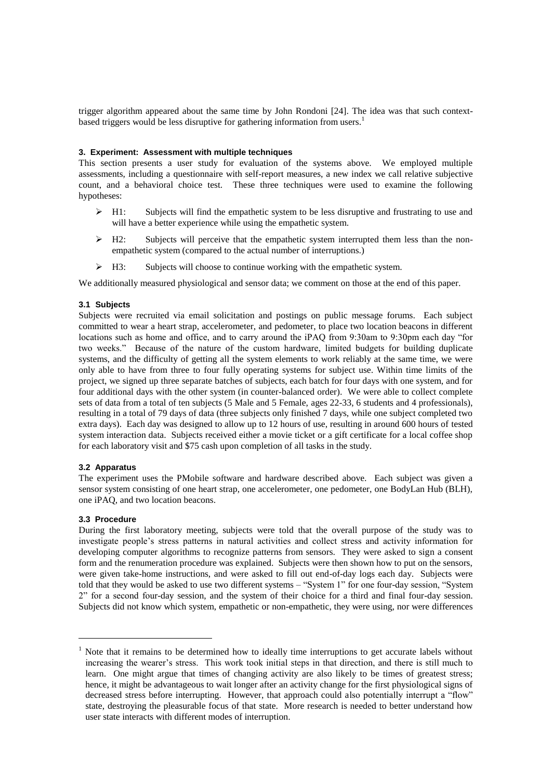trigger algorithm appeared about the same time by John Rondoni [24]. The idea was that such contextbased triggers would be less disruptive for gathering information from users.<sup>1</sup>

## **3. Experiment: Assessment with multiple techniques**

This section presents a user study for evaluation of the systems above. We employed multiple assessments, including a questionnaire with self-report measures, a new index we call relative subjective count, and a behavioral choice test. These three techniques were used to examine the following hypotheses:

- $\triangleright$  H1: Subjects will find the empathetic system to be less disruptive and frustrating to use and will have a better experience while using the empathetic system.
- $\triangleright$  H2: Subjects will perceive that the empathetic system interrupted them less than the nonempathetic system (compared to the actual number of interruptions.)
- H3: Subjects will choose to continue working with the empathetic system.

We additionally measured physiological and sensor data; we comment on those at the end of this paper.

## **3.1 Subjects**

Subjects were recruited via email solicitation and postings on public message forums. Each subject committed to wear a hear t strap, accelerometer, and pedometer, to place two location beacons in different locations such as home and office, and to carry around the iPAQ from 9:30am to 9:30pm each day "for two weeks." Because of the nature of the custom hardware, limited budgets for building duplicate systems, and the difficulty of getting all the system elements to work reliably at the same time, we were only able to have from three to four fully operating systems for subject use. Within time limits of the project, we signed up three separate batches of subjects, each batch for four days with one system, and for four additional days with the other system (in counter-balanced order). We were able to collect complete sets of data from a total of ten subjects (5 Male and 5 Female, ages 22-33, 6 students and 4 professionals), resulting in a total of 79 days of data (three subjects only finished 7 days, while one subject completed two extra days). Each day was designed to allow up to 12 hours of use, resulting in around 600 hours of tested system interaction data. Subjects received either a movie ticket or a gift certificate for a local coffee shop for each laboratory visit and \$75 cash upon completion of all tasks in the study.

#### **3.2 Apparatus**

The experiment uses the PMobile software and hardware described above. Each subject was given a sensor system consisting of one heart strap, one accelerometer, one pedometer, one BodyLan Hub (BLH), one iPAQ, and two location beacons.

#### **3.3 Procedure**

l

During the first laboratory meeting, subje cts were told that the overall purpose of the study was to investigate people's stress patterns in natural activities and collect stress and activity information for developing computer algorithms to recognize patterns from sensors. They were asked to sign a consent form and the renumeration procedure was explained. Subjects were then shown how to put on the sensors, were given take-home instructions, and were asked to fill out end-of-day logs each day. Subjects were told that they would be asked to use two different systems – "System 1" for one four-day session, "System" told that they would be asked to use two different systems – "System 1" for one four-day session, "System 2" for a second four-day session, and the system of their choice for a third and final four-day session. Subjects did not know which system, empathetic or non-empathetic, they were using, nor were differences

 $1$  Note that it remains to be determined how to ideally time interruptions to get accurate labels without increasing the wearer's stress. This work took initial steps in that direction, and there is still much to learn. One might argue that times of changing activity are also likely to be times of greatest stress; hence, it might be advantageous to wait longer after an activity change for the first physiological signs of decreased stress before interrupting. However, that approach could a lso potentially interrupt a "flow" state, destroying the pleasurable focus of that state. More research is needed to better understand how user state interacts with different modes of interruption.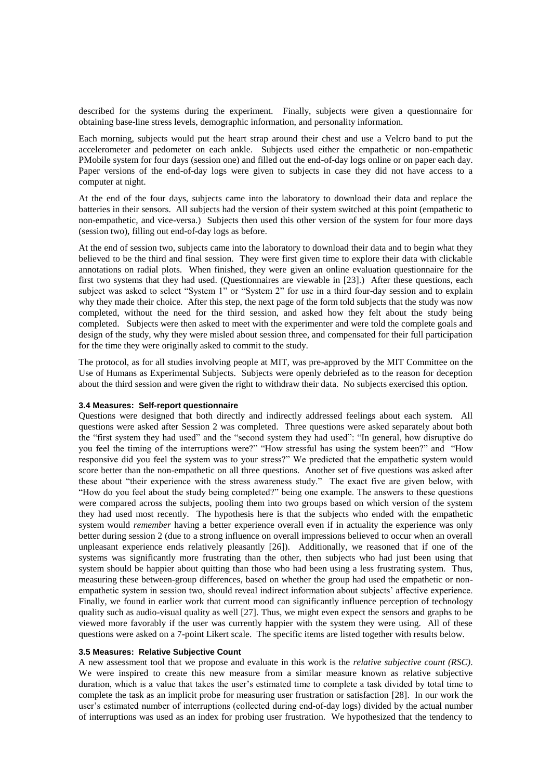described for the systems during the experiment. Finally, subjects were given a questionnaire for obtaining base-line stress levels, demographic information, and personality information.

Each morning, subjects would put the heart strap around their chest and use a Velcro band to put the accelerometer and pedometer on each ankle. Subjects used either the empathetic or non-empathetic PMobile system for four days (session one) and filled out the end-of-day logs online or on paper each day. Paper versions of the end-of-day logs were given to subjects in case they did not have access to a computer at night.

At the end of the four days, subjects came into the laboratory to download their data and replace the batteries in their sensors. All subjects had the version of their system switched at this point (empathetic to non-empathetic, and vice-versa.) Subjects then used this other version of the system for four more days (session two), filling out end-of-day logs as before.

At the end of session two, subjects came into the laboratory to download their data and to begin what they believed to be the third and final session. They were first given time to explore their data with clickable annotations on radial plots. When finished, they were given an online evaluation questionnaire for the first two systems that they had used. (Questionnaires are viewable in [23].) After these questions, each subject was asked to select "System 1" or "System 2" for use in a third four -day session and to explain why they made their choice. After this step, the next page of the form told subjects that the study was now completed, without the need for the third session, and asked how they felt about the study being completed. Subjects were then asked to meet with the experimenter and were told the complete goals and design of the study, why they were misled about session three, and compensated for their full participation for the time they were originally asked to commit to the study.

The protocol, as for all studies involving people at MIT, was pre-approved by the MIT Committee on the Use of Humans as Experimental Subjects. Subjects were openly debriefed as to the reason for deception about the third session and were given the right to withdraw their data. No subjects exercised this option.

## **3.4 Measures: Self-report questionnaire**

Questions were designed that both directly and indirectly addressed feelings about each system. All questions were asked after Session 2 was completed. Three questions were asked separately about both the "first system they had used" and the "second system they had used": "In general, how disruptive do you feel the timing of the interruptions were?" "How stressful has using the system been?" and "How responsive did you feel the system was to your stress?" We predicted that the empathetic system would score better than the non-empathetic on all three questions. Another set of five questions was asked after these about "their experience with the stress awareness study." The exact five are given below, with "How do you feel about the study bein g completed?" being one example. The answers to these questions were compared across the subjects, pooling them into two groups based on which version of the system they had used most recently. The hypothesis here is that the subjects who ended with the empathetic system would *remember* having a better experience overall even if in actuality the experience was only better during session 2 (due to a strong influence on overall impressions believed to occur when an overall unpleasant experience ends relatively pleasantly [26]). Additionally, we reasoned that if one of the systems was significantly more frustrating than the other, then subjects who had just been using that system should be happier about quitting than those who had been using a less frustrating system. Thus, measuring these between-group differences, based on whether the group had used the empathetic or nonempathetic system in session two, should reveal indirect information about subjects' affective experience. Finally, we found in earlier work that current mood can significantly influence perception of technology quality such as audio-visual quality as well [27]. Thus, we might even expect the sensors and graphs to be viewed more favorably if the user was currently happier with the system they were using. All of these questions were asked on a 7-point Likert scale. The specific items are listed together with results below.

#### **3.5 Measures: Relative Subjective Count**

A new assessment tool that we propose and evaluate in this work is the *relative subjective count (RSC)*. We were inspired to create this new measure from a simi lar measure known as relative subjective duration, which is a value that takes the user's estimated time to complete a task divided by total time to complete the task as an implicit probe for measuring user frustration or satisfaction [28]. In our work the user's estimated number of interruptions (collected during end -of-day logs) divided by the actual number of interruptions was used as an index for probing user frustration. We hypothesized that the tendency to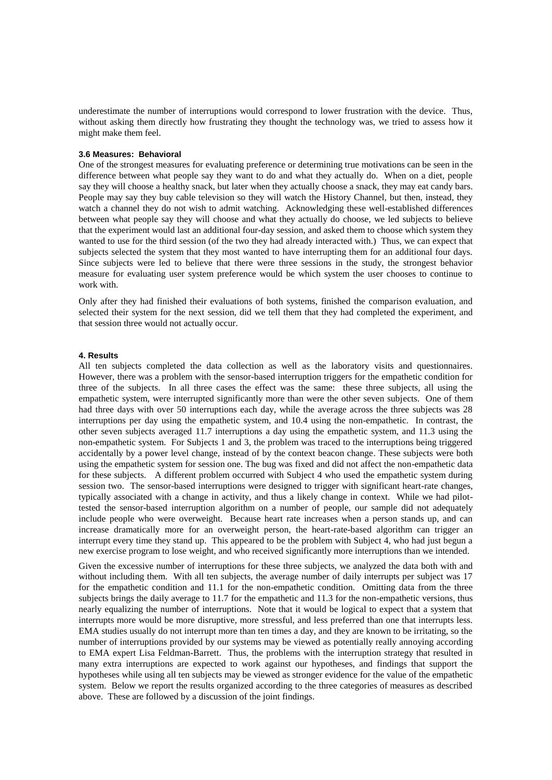underestimate the number of interruptions would correspond to lower frustration with the device. Thus, without asking them directly how frustrating they thought the technology was, we tried to assess how it might make them feel.

## **3.6 Measures: Behavioral**

One of the strongest measures for evaluating preference or determining true motivations can be seen in the difference between what people say they want to do and what they actually do. When on a diet, people say they will choose a healthy snack, but later when they actually choose a snack, they may eat candy bars. People may say they buy cable television so they will watch the History Channel, but then, instead, they watch a channel they do not wish to admit watching. Acknowledging these well-established differences between what people say they will choose and what they actually do choose, we led subjects to believe that the experiment would last an additional four-day session, and asked them to choose which system they wanted to use for the third session (of the two they had already interacted with.) Thus, we can expect that subjects selected the system that they most wanted to have interrupting them for an additional four days. Since subjects were led to believe that there were three sessions in the study, the strongest behavior measure for evaluating user system preference would be which system the user chooses to continue to work with.

Only after they had finished their evaluations of both systems, finished the comparison evaluation, and selected their system for the next session, did we tell them that they had completed the experiment, and that session three would not actually occur.

#### **4. Results**

All ten subjects completed the data collection as well as the laboratory visits and questionnaires. However, there was a problem with the sensor-based interruption triggers for the empathetic condition for three of the subjects. In all three cases the effect was the same: these three subjects, all using the empathetic system, were interrupted significantly more than were the other seven subjects. One of them had three days with over 50 interruptions each day, while the average across the three subjects was 28 interruptions per day using the empathetic system, and 10.4 using the non-empathetic. In contrast, the other seven subjects averaged 11.7 interruptions a day using the empathetic system, and 11.3 using the non-empathetic system. For Subjects 1 and 3, the problem was traced to the interruptions being triggered accidentally by a power level change, instead of by the context beacon change. These subjects were both using the empathetic system for session one. The bug was fixed and did not affect the non-empathetic data for these subjects. A different problem occurred with Subject 4 who used the empathetic system during session two. The sensor-based interruptions were designed to trigger with significant heart-rate changes, typically associated with a change in activity, and thus a likely change in context. While we had pilottested the sensor-based interruption algorithm on a number of people, our sample did not adequately include people who were overweight. Because heart rate increases when a person stands up, and can increase dramatically more for an overweight person, the heart-rate-based algorithm can trigger an interrupt every time they stand up. This appeared to be the problem with Subject 4, who had just begun a new exercise program to lose weight, and who received significantly more interruptions than we intended.

Given the excessive number of interruptions for these three subjects, we analyzed the data both with and without including them. With all ten subjects, the average number of daily interrupts per subject was 17 for the empathetic condition and 11.1 for the non-empathetic condition. Omitting data from the three subjects brings the daily average to 11.7 for the empathetic and 11.3 for the non-empathetic versions, thus nearly equalizing the number of interruptions. Note that it would be logical to expect that a system that interrupts more would be more disruptive, more stressful, and less preferred than one that interrupts less. EMA studies usually do not interrupt more than ten times a day, and they are known to be irritating, so the number of interruptions provided by our systems may be viewed as potentially really annoying according to EMA expert Lisa Feldman-Barrett. Thus, the problems with the interruption strategy that resulted in many extra interruptions are expected to work against our hypotheses, and findings that support the hypotheses while using all ten subjects may be viewed as stronger evidence for the value of the empathetic system. Below we report the results organized according to the three categories of measures as described above. These are followed by a discussion of the joint findings.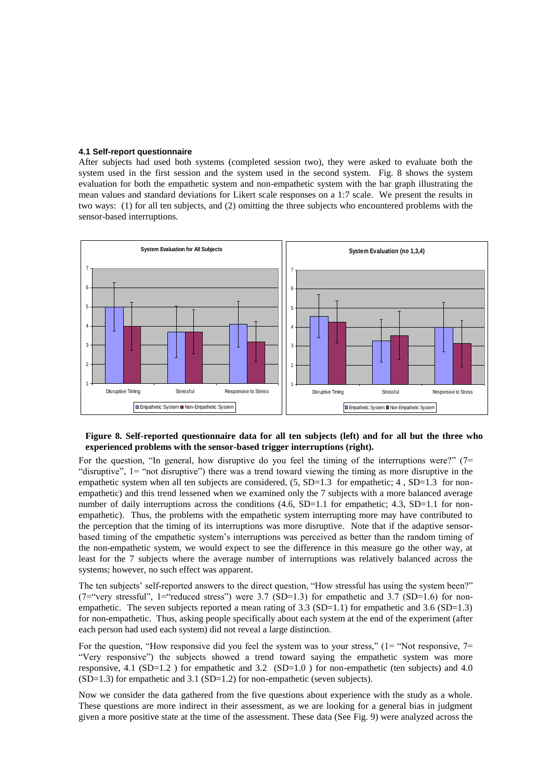#### **4.1 Self-report questionnaire**

After subjects had used both systems (completed session two), they were asked to evaluate both the system used in the first session and the system used in the second system. Fig. 8 shows the system evaluation for both the empathetic system and non-empathetic system with the bar graph illustrating the mean values and standard deviations for Likert scale responses on a 1:7 scale. We present the results in two ways: (1) for all ten subjects, and (2) omitting the three subjects who encountered problems with the sensor-based interruptions.



## **Figure 8. Self-reported questionnaire data for all ten subjects (left) and for all but the three who experienced problems with the sensor-based trigger interruptions (right).**

For the question, "In general, how disruptive do you feel the timing of the interruptions were?"  $(7=$ "disruptive", 1= "not disruptive") there was a trend toward viewing the timing as more disruptive in the empathetic system when all ten subjects are considered,  $(5, SD=1.3)$  for empathetic;  $4$ ,  $SD=1.3$  for nonempathetic) and this trend lessened when we examined only the 7 subjects with a more balanced average number of daily interruptions across the conditions  $(4.6, SD=1.1$  for empathetic;  $4.3, SD=1.1$  for nonempathetic). Thus, the problems with the empathetic system interrupting more may have contributed to the perception that the timing of its interruptions was more disruptive . Note that if the adaptive sensorbased timing of the empathetic system's interruptions was perceived as better than the random timing of the non-empathetic system, we would expect to see the difference in this measure go the other way, at least for the 7 subjects where the average number of interruptions was relatively balanced across the systems; however, no such effect was apparent.

The ten subjects' self-reported answers to the direct question, "How stressful has using the system been?" (7="very stressful", 1="reduced stress") were 3.7 (SD=1.3) for empathetic and 3.7 (SD=1.6) for nonempathetic. The seven subjects reported a mean rating of 3.3 (SD=1.1) for empathetic and 3.6 (SD=1.3) for non-empathetic. Thus, asking people specifically about each system at the end of the experiment (after each person had used each system) did not reveal a large distinction.

For the question, "How responsive did you feel the system was to your stress," ( $1=$  "Not responsive,  $7=$ "Very responsive") the subjects showed a trend toward saying the empathetic system was more responsive, 4.1 (SD=1.2) for empathetic and 3.2 (SD=1.0) for non-empathetic (ten subjects) and 4.0 (SD=1.3) for empathetic and 3.1 (SD=1.2) for non-empathetic (seven subjects).

Now we consider the data gathered from the five questions about experience with the study as a whole. These questions are more indirect in their assessment, as we are looking for a general bias in judgment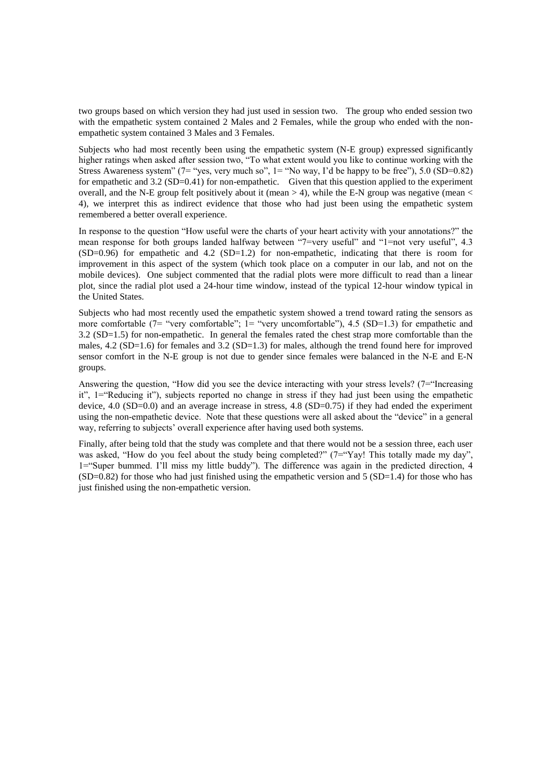two groups based on which version they had just used in session two. The group who ended session two with the empathetic system contained 2 Males and 2 Females, while the group who ended with the nonempathetic system contained 3 Males and 3 Females.

Subjects who had most recently been using the empathetic system (N-E group) expressed significantly higher ratings when asked after session two, "To what extent would you like to continue working with the Stress Awareness sy Stress Awareness system" (7= "yes, very much so",  $1=$  "No way, I'd be happy to be free"), 5.0 (SD=0.82) for empathetic and 3.2 (SD=0.41) for non-empathetic. Given that this question applied to the experiment overall, and the N-E group felt positively about it (mean  $> 4$ ), while the E-N group was negative (mean  $<$ 4), we interpret this as indirect evidence that those who had just been using the empathetic system remembered a better overall experience.

In response to the question "How useful were the charts of your heart activity with your annotations?" the mean response for both groups landed halfway between "7=very useful" and "1=not very useful", 4.3 (SD=0.96) for empathetic and 4.2 (SD=1.2) for non-empathetic, indicating that there is room for improvement in this aspect of the system (which took place on a computer in our lab, and not on the mobile devices). One subject commented that the radial plots were more difficult to read than a linear plot, since the radial plot used a 24-hour time window, instead of the typical 12-hour window typical in the United States.

Subjects who had most recently used the empathetic system showed a trend toward rating the sensors as more comfortable (7= "very comfortable"; 1= "very uncomfortable"), 4.5 (SD=1.3) for empathetic and 3.2 (SD=1.5) for non-empathetic. In general the females rated the chest strap more comfortable than the males, 4.2 (SD=1.6) for females and 3.2 (SD=1.3) for males, although the trend found here for improved sensor comfort in the N-E group is not due to gender since females were balanced in the N-E and E-N groups.

Answering the question, "How did you see the device interacting with your stress levels? (7="Increasing it", 1="Reducing it"), subjects reported no change in stress if they had just been using the empathetic device, 4.0 (SD=0.0) and an average increase in stress, 4.8 (SD=0.75) if they had ended the experiment using the non-empathetic device. Note that these questions were all asked about the "device" in a general way, referring to subjects' overall experience after having used both systems. way, referring to subjects' overall experience after having used both systems.

Finally, after being told that the study was complete and that there would not be a session three, each user was asked, "How do you feel about the study being completed?" (7="Yay! This totally made my day", 1="Super bumme d. I'll miss my little buddy"). The difference was again in the predicted direction, 4  $(SD=0.82)$  for those who had just finished using the empathetic version and 5  $(SD=1.4)$  for those who has just finished using the non-empathetic version.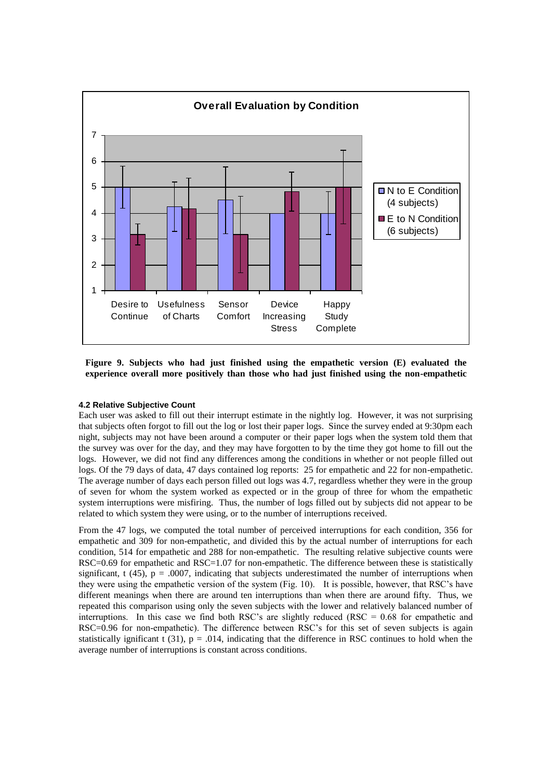

**Figure 9. Subjects who had just finished using the empathetic version (E) evaluated the experience overall more positively than those who had just finished using the non-empathetic** 

## **4.2 Relative Subjective Count**

Each user was asked to fill out their interrupt estimate in the nightly log. However, it was not surprising that subjects often forgot to fill out the log or lost their paper logs. Since the survey ended at 9:30pm each night, subjects may not have been around a computer or their paper logs when the system told them that the survey was over for the day, and they may have forgotten to by the time they got home to fill out the logs. However, we did not find any differences among the conditions in whether or not people filled out logs. Of the 79 days of data, 47 days contained log reports: 25 for empathetic and 22 for non-empathetic. The average number of days each person filled out logs was 4.7, regardless whether they were in the group of seven for whom the system worked as expected or in the group of three for whom the empathetic system interruptions were misfiring. Thus, the number of logs filled out by subjects did not appear to be related to which system they were using, or to the number of interruptions received.

From the 47 logs, we computed the total number of perceived interruptions for each condition, 356 for empathetic and 309 for non-empathetic, and divided this by the actual number of interruptions for each condition, 514 for empathetic and 288 for non-empathetic. The resulting relative subjective counts were RSC=0.69 for empathetic and RSC=1.07 for non-empathetic. The difference between these is statistically significant,  $t$  (45),  $p = .0007$ , indicating that subjects underestimated the number of interruptions when they were using the empathetic version of the system (Fig. 10). It is possible, however, that RSC's have different meanings when there are around ten interruptions than when there are around fifty. Thus, we repeat ed this comparison using only the seven subjects with the lower and relatively balanced number of interruptions. In this case we find both RSC's are slightly reduced (RSC =  $0.68$  for empathetic and RSC=0.96 for non-empathetic). The difference between RSC's for this set of seven subjects is again statistically ignificant t (31),  $p = .014$ , indicating that the difference in RSC continues to hold when the average number of interruptions is constant across conditions.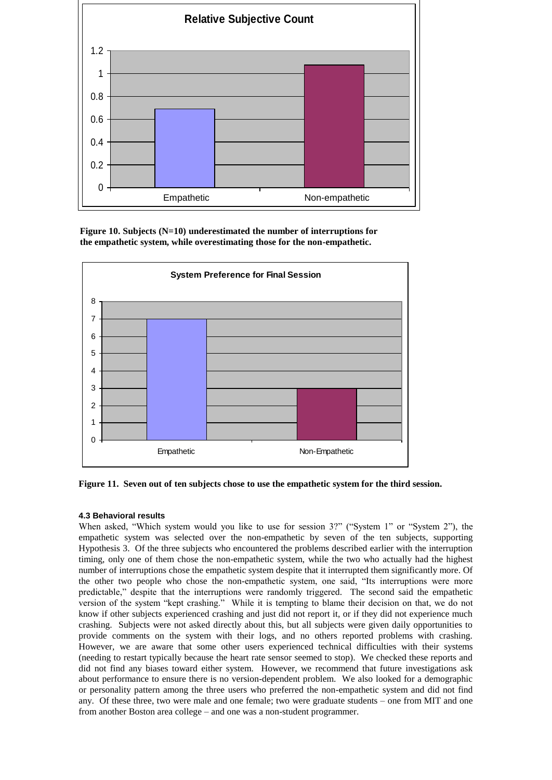

**Figure 10. Subjects (N=10) underestimated the number of interruptions for the empathetic system, while overestimating those for the non-empathetic.**



**Figure 11. Seven out of ten subjects chose to use the empathetic system for the third session.**

# **4.3 Behavioral results**

When asked, "Which system would you like to use for session 3?" ("System 1" or "System 2"), the empathetic system was selected over the non-empathetic by seven of the ten subjects, supporting Hypothesis 3. Of the three subjects who encountered the problems described earlier with the interruption timing, only one of them chose the non-empathetic system, while the two who actually had the highest number of interruptions chose the empathetic system despite that it interrupted them significantly more. Of the other two people who chose the non -empathetic system, one said, "Its interruptions were more predictable," despite that the interruptions were randomly triggere d. The second said the empathetic version of the system "kept crashing." While it is tempting to blame their decision on that, we do not know if other subjects experienced crashing and just did not report it, or if they did not experience much crashing. Subjects were not asked directly about this, but all subjects were given daily opportunities to provide comments on the system with their logs, and no others reported problems with crashing. However, we are aware that some other users experienced technical difficulties with their systems (needing to restart typically because the heart rate sensor seemed to stop). We checked these reports and did not find any biases toward either system. However, we recommend that future investigations ask about performance to ensure there is no version-dependent problem. We also looked for a demographic or personality pattern among the three users who preferred the non-empathetic system and did not find any. Of these three, two were male and one female; two were graduate students –one from MIT and one from another Boston area college – and one was a non-student programmer.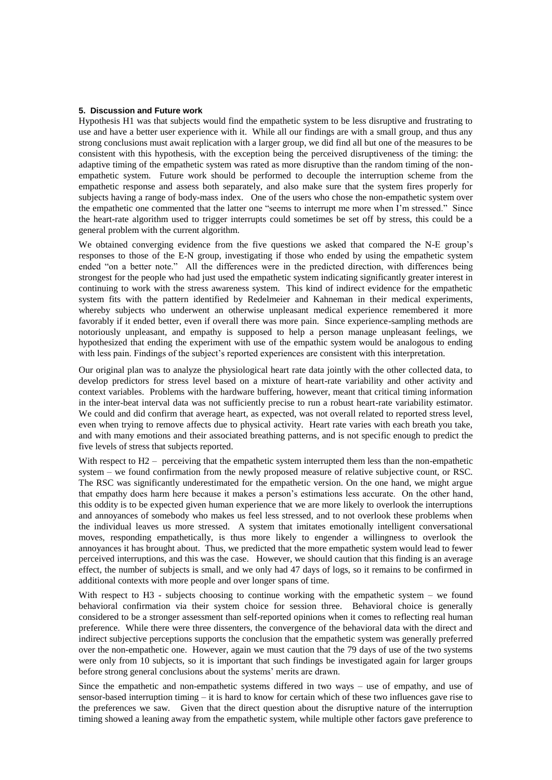## **5. Discussion and Future work**

Hypothesis H1 was that subjects would find the empathetic system to be less disruptive and frustrating to use and have a better user experience with it. While all our findings are with a small group, and thus any strong conclusions must await replication with a larger group, we did find all but one of the measures to be consistent with this hypothesis, with the exception being the perceived disruptiveness of the timing: the adaptive timing of the empathetic system was rated as more disruptive than the random timing of the nonempathetic system. Future work should be performed to decouple the interruption scheme from the empathetic response and assess both separately, and also make sure that the system fires properly for subjects having a range of body-mass index. One of the users who chose the non-empathetic system over the empathetic one commented that the latter on e "seems to interrupt me more when I'm stressed." Since the heart-rate algorithm used to trigger interrupts could sometimes be set off by stress, this could be a general problem with the current algorithm.

We obtained converging evidence from the five qu estions we asked that compared the N-E group's responses to those of the E-N group, investigating if those who ended by using the empathetic system ended "on a better note." All the differences were in the predicted direction, with differences being strongest for the people who had just used the empathetic system indicating significantly greater interest in continuing to work with the stress awareness system. This kind of indirect evidence for the empathetic system fits with the pattern identified by Redelmeier and Kahneman in their medical experiments, whereby subjects who underwent an otherwise unpleasant medical experience remembered it more favorably if it ended better, even if overall there was more pain. Since experience-sampling methods are notoriously unpleasant, and empathy is supposed to help a person manage unpleasant feelings, we hypothesized that ending the experiment with use of the empathic system would be analogous to ending with less pain. Findings of the subject's reported experiences are consistent with this interpretation.

Our original plan was to analyze the physiological heart rate data jointly with the other collected data, to develop predictors for stress level based on a mixture of heart-rate variability and other activity and context variables. Problems with the hardware buffering, however, meant that critical timing information in the inter-beat interval data was not sufficiently precise to run a robust heart-rate variability estimator. We could and did confirm that average heart, as expected, was not overall related to reported stress level, even when trying to remove affects due to physical activity. Heart rate varies with each breath you take, and with many emotions and their associated breathing patterns, and is not specific enough to predict the five levels of stress that subjects reported.

With respect to H2 – perceiving that the empathetic system interrupted them less than the non-empathetic system – we found confirmation from the newly proposed measure of relative subjective count, or RSC. The RSC was significantly underestimated for the empathetic version. On the one hand, we might argue that empathy does harm here because it makes a person's estimations less accurate. On the other hand, this oddity is to be expected given human experience that we are more likely to overlook the interruptions and annoyances of somebody who makes us feel less stressed, and to not overlook these problems when the individual leaves us more stressed. A system that imitates emotionally intelligent conversational moves, responding empathetically, is thus more likely to engender a willingness to overlook the annoyances it has brought about. Thus, we predicted that the more empathetic system would lead to fewer perceived interruptions, and this was the case. However, we should caution that this finding is an average effect, the number of subjects is small, and we only had 47 days of logs, so it remains to be confirmed in additional contexts with more people and over longer spans of time.

With respect to H<sub>3</sub> - subjects choosing to continue working with the empathetic system – we found behavioral confirmation via their system choice for session three. Behavioral choice is generally considered to be a stronger assessment than self-reported opinions when it comes to reflecting real human preference. While there were three dissenters, the convergence of the behavioral data with the direct and indirect subjective perceptions supports the conclusion that the empathetic system was generally preferred over the non-empathetic one. However, again we must caution that the 79 days of use of the two systems were only from 10 subjects, so it is important that such findings be investigated again for larger groups before strong general conclusions about the systems' merits are drawn.

Since the empathetic and non-empathetic systems differed in two ways  $-$  use of empathy, and use of sensor-based interruption timing – it is hard to know for certain which of these two influences gave rise to the preferences we saw. Given that the direct question about the disruptive nature of the interruption timing showed a leaning away from the empathetic system, while multiple other factors gave preference to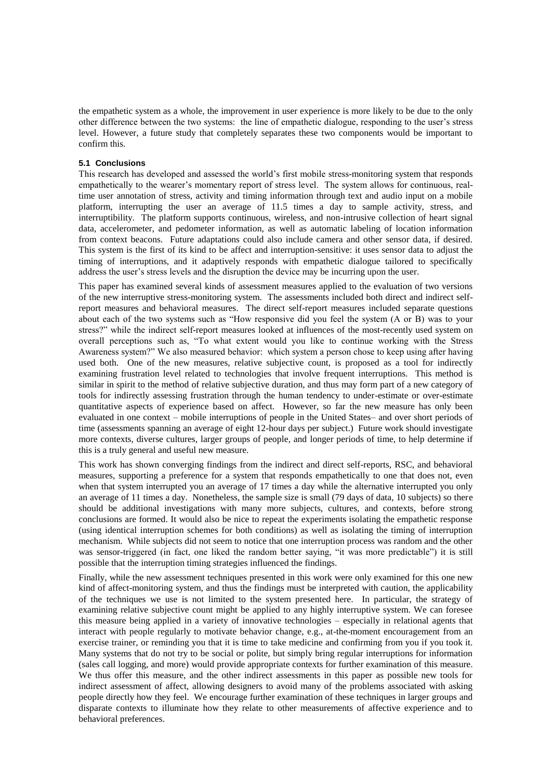the empathetic system as a whole, the improvement in user experie nce is more likely to be due to the only other difference between the two systems: the line of empathetic dialogue, responding to the user's stress level. However, a future study that completely separates these two components would be important to confirm this.

## **5.1 Conclusions**

This research has developed and assessed the world's first mobile stress-monitoring system that responds This research has developed and assessed the world's first mobile stress-monitoring system that responds empathetically to the wearer's momentary report of stress level. The system allows for continuous, realtime user annotation of stress, activity and timing information through text and audio input on a mobile platform, interrupting the user an average of 11.5 times a day to sample activity, stress, and interruptibility. The platform supports continuous, wireless, and non-intrusive collection of heart signal data, accelerometer, and pedometer information, as well as automatic labeling of location information from context beacons. Future adaptations could also include camera and other sensor data, if desired. This system is the first of its kind to be affect and interruption-sensitive: it uses sensor data to adjust the timing of interruptions, and it adaptively responds with empathetic dialogue tailored to specifically address the user's stress levels and the disruption the device may be incurring upon the user.

This paper has examined several kinds of assessment measures applied to the evaluation of two versions of the new interruptive stress-monitoring system. The assessments included both direct and indirect selfreport measures a nd behavioral measures. The direct self-report measures included separate questions about each of the two systems such as "How responsive did you feel the system (A or B) was to your stress?" while the indirect self-report measures looked at influences of the most-recently used system on overall perceptions such as, "To what extent would you like to continue working with the Stress Awareness system?" We also measured behavior: which system a person chose to keep using after having used both. One of the new measures, relative subjective count, is proposed as a tool for indirectly examining frustration level related to technologies that involve frequent interruptions. This method is similar in spirit to the method of relative subjective duration, and thus may form part of a new category of tools for indirectly assessing frustration through the human tendency to under-estimate or over-estimate quantitative aspects of experience based on affect. However, so far the new measure has only been evaluated in one context – mobile interruptions of people in the United States– and over short periods of time (assessments spanning an average of eight 12-hour days per subject.) Future work should investigate more contexts, diverse cultures, larger groups of people, and longer periods of time, to help determine if this is a truly general and useful new measure.

This work has shown converging findings from the indirect and direct self-reports, RSC, and behavioral measures, supporting a preference for a system that responds empathetically to one that does not, even when that system interrupted you an average of 17 times a day while the alternative interrupted you only an average of 11 times a day. Nonetheless, the sample size is small (79 days of data, 10 subjects) so there should be additional investigations with many more subjects, cultures, and contexts, before strong conclusions are formed. It would also be nice to repeat the experiments isolating the empathetic response (using identical interruption schemes for both conditions) as well as isolating the timing of interruption mechanism. While subjects did not seem to notice that one interruption process was random and the other was sensor-triggered (in fact, one liked the random better saying, "it was more predictable") it is still possible that the interruption timing strategies influenced the findings.

Finally, while the new assessment techniques presented in this work were only examined for this one new kind of affect-monitoring system, and thus the findings must be interpreted with caution, the applicability of the techniques we use is not limited to the system presented here. In particular, the strategy of examining relative subjective count might be applied to any highly interruptive system. We can foresee this measure being applied in a variety of innovative technologies – especially in relational agents that interact with people regularly to motivate behavior change, e.g., at-the-moment encouragement from an exercise trainer, or reminding you that it is time to take medicine and confirming from you if you took it. Many systems that do not try to be social or polite, but simply bring regular interruptions for information (sales call logging, and more) would provide appropriate contexts for further examination of this measure. We thus offer this measure, and the other indirect assessments in this paper as possible new tools for indirect assessment of affect, allowing designers to avoid many of the problems associated with asking people directly how they feel. We encourage further examination of these techniques in larger groups and disparate contexts to illuminate how they relate to other measurements of affective experience and to behavioral preferences.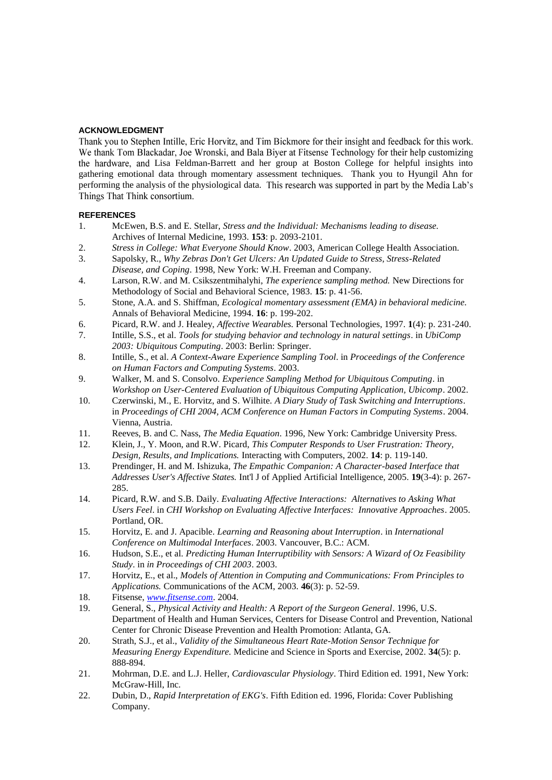## **ACKNOWLEDGMENT**

Thank you to Stephen Intille, Eric Horvitz, and Tim Bickmore for their insight and feedback for this work. We thank Tom Blackadar, Joe Wronski, and Bala Biyer at Fitsense Technology for their help customizing the hardware, and Lisa Feldman-Barrett and her group at Boston College for helpful insights into gathering emotional data through momentary assessment techniques. Thank you to Hyungil Ahn for performing the analysis of the physiological data. Things That Think consortium.

# **REFERENCES**

- 1. McEwen, B.S. and E. Stellar, *Stress and the Individual: Mechanisms leading to disease.* Archives of Internal Medicine, 1993. **153**: p. 2093-2101.
- 2. *Stress in College: What Everyone Should Know*. 2003, American College Health Association.
- 3. Sapolsky, R., *Why Zebras Don't Get Ulcers: An Updated Guide to Stress, Stress-Related Disease, and Coping*. 1998, New York: W.H. Freeman and Company.
- 4. Larson, R.W. and M. Csikszentmihalyhi, *The experience sampling method.* New Directions for Methodology of Social and Behavioral Science, 1983. **15**: p. 41-56.
- 5. Stone, A.A. and S. Shiffman, *Ecological momentary assessment (EMA) in behavioral medicine.* Annals of Behavioral Medicine, 1994. **16**: p. 199-202.
- 6. Picard, R.W. and J. Healey, *Affective Wearables.* Personal Technologies, 1997. **1**(4): p. 231-240.
- 7. Intille, S.S., et al. *Tools for studying behavior and technology in natural settings*. in *UbiComp 2003: Ubiquitous Computing*. 2003: Berlin: Springer.
- 8. Intille, S., et al. *A Context-Aware Experience Sampling Tool*. in *Proceedings of the Conference on Human Factors and Computing Systems*. 2003.
- 9. Walker, M. and S. Consolvo. *Experience Sampling Method for Ubiquitous Computing*. in *Workshop on User-Centered Evaluation of Ubiquitous Computing Application, Ubicomp*. 2002.
- 10. Czerwinski, M., E. Horvitz, and S. Wilhite. *A Diary Study of Task Switching and Interruptions*. in *Proceedings of CHI 2004, ACM Conference on Human Factors in Computing Systems*. 2004. Vienna, Austria.
- 11. Reeves, B. and C. Nass, *The Media Equation*. 1996, New York: Cambridge University Press.
- 12. Klein, J., Y. Moon, and R.W. Picard, *This Computer Responds to User Frustration: Theory, Design, Results, and Implications.* Interacting with Computers, 2002. **14**: p. 119-140.
- 13. Prendinger, H. and M. Ishizuka, *The Empathic Companion: A Character-based Interface that Addresses User's Affective States.* Int'l J of Applied Artificial Intelligence, 2005. **19**(3-4): p. 267- 285.
- 14. Picard, R.W. and S.B. Daily. *Evaluating Affective Interactions: Alternatives to Asking What Users Feel*. in *CHI Workshop on Evaluating Affective Interfaces: Innovative Approaches*. 2005. Portland, OR.
- 15. Horvitz, E. and J. Apacible. *Learning and Reasoning about Interruption*. in *International Conference on Multimodal Interfaces*. 2003. Vancouver, B.C.: ACM.
- 16. Hudson, S.E., et al. *Predicting Human Interruptibility with Sensors: A Wizard of Oz Feasibility Study*. in *in Proceedings of CHI 2003*. 2003.
- 17. Horvitz, E., et al., *Models of Attention in Computing and Communications: From Principles to Applications.* Communications of the ACM, 2003. **46**(3): p. 52-59.
- 18. Fitsense, *[www.fitsense.com](http://www.fitsense.com/)*. 2004.
- 19. General, S., *Physical Activity and Health: A Report of the Surgeon General*. 1996, U.S. Department of Health and Human Services, Centers for Disease Control and Prevention, National Center for Chronic Disease Prevention and Health Promotion: Atlanta, GA.
- 20. Strath, S.J., et al., *Validity of the Simultaneous Heart Rate-Motion Sensor Technique for Measuring Energy Expenditure.* Medicine and Science in Sports and Exercise, 2002. **34**(5): p. 888-894.
- 21. Mohrman, D.E. and L.J. Heller, *Cardiovascular Physiology*. Third Edition ed. 1991, New York: McGraw-Hill, Inc.
- 22. Dubin, D., *Rapid Interpretation of EKG's*. Fifth Edition ed. 1996, Florida: Cover Publishing Company.